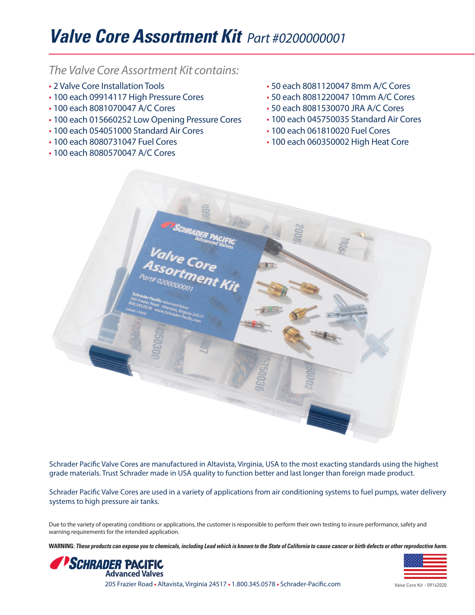## **Valve Core Assortment Kit** *Part #0200000001*

## *The Valve Core Assortment Kit contains:*

- 2 Valve Core Installation Tools
- 100 each 09914117 High Pressure Cores
- 100 each 8081070047 A/C Cores
- 100 each 015660252 Low Opening Pressure Cores
- 100 each 054051000 Standard Air Cores
- 100 each 8080731047 Fuel Cores
- 100 each 8080570047 A/C Cores
- 50 each 8081120047 8mm A/C Cores
- 50 each 8081220047 10mm A/C Cores
- 50 each 8081530070 JRA A/C Cores
- 100 each 045750035 Standard Air Cores
- 100 each 061810020 Fuel Cores
- 100 each 060350002 High Heat Core



Schrader Pacific Valve Cores are manufactured in Altavista, Virginia, USA to the most exacting standards using the highest grade materials. Trust Schrader made in USA quality to function better and last longer than foreign made product.

Schrader Pacific Valve Cores are used in a variety of applications from air conditioning systems to fuel pumps, water delivery systems to high pressure air tanks.

Due to the variety of operating conditions or applications, the customer is responsible to perform their own testing to insure performance, safety and warning requirements for the intended application.

**WARNING: These products can expose you to chemicals, including Lead which is known to the State of California to cause cancer or birth defects or other reproductive harm.**



205 Frazier Road • Altavista, Virginia 24517 • 1.800.345.0578 • Schrader-Pacific.com



Valve Core Kit - 09142020